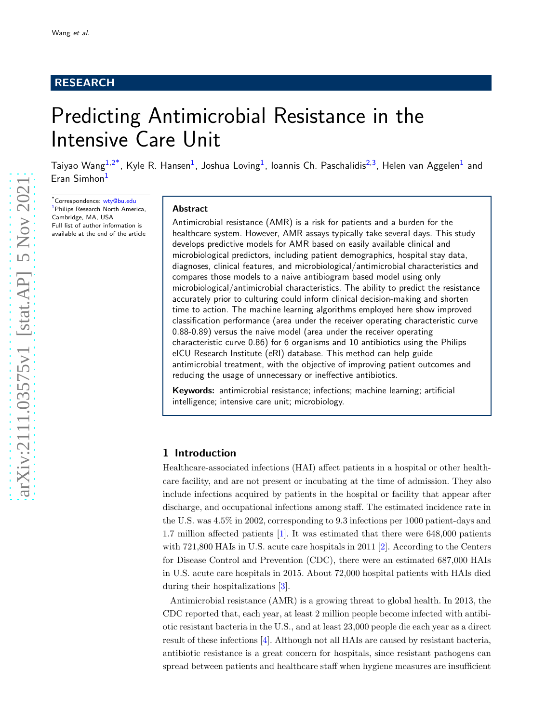## RESEARCH

# Predicting Antimicrobial Resistance in the Intensive Care Unit

Taiyao Wang<sup>[1,](#page-8-0)[2](#page-8-1)[\\*](#page-0-0)</sup>, Kyle R. Hansen<sup>[1](#page-8-0)</sup>, Joshua Loving<sup>1</sup>, Ioannis Ch. Paschalidis<sup>[2,](#page-8-1)[3](#page-8-2)</sup>, Helen van Aggelen<sup>1</sup> and Eran Simhon<sup>[1](#page-8-0)</sup>

<span id="page-0-0"></span>\*Correspondence: [wty@bu.edu](mailto:wty@bu.edu) <sup>[1](#page-8-0)</sup>Philips Research North America, Cambridge, MA, USA Full list of author information is available at the end of the article

#### Abstract

Antimicrobial resistance (AMR) is a risk for patients and a burden for the healthcare system. However, AMR assays typically take several days. This study develops predictive models for AMR based on easily available clinical and microbiological predictors, including patient demographics, hospital stay data, diagnoses, clinical features, and microbiological/antimicrobial characteristics and compares those models to a naive antibiogram based model using only microbiological/antimicrobial characteristics. The ability to predict the resistance accurately prior to culturing could inform clinical decision-making and shorten time to action. The machine learning algorithms employed here show improved classification performance (area under the receiver operating characteristic curve 0.88-0.89) versus the naive model (area under the receiver operating characteristic curve 0.86) for 6 organisms and 10 antibiotics using the Philips eICU Research Institute (eRI) database. This method can help guide antimicrobial treatment, with the objective of improving patient outcomes and reducing the usage of unnecessary or ineffective antibiotics.

Keywords: antimicrobial resistance; infections; machine learning; artificial intelligence; intensive care unit; microbiology.

## 1 Introduction

Healthcare-associated infections (HAI) affect patients in a hospital or other healthcare facility, and are not present or incubating at the time of admission. They also include infections acquired by patients in the hospital or facility that appear after discharge, and occupational infections among staff. The estimated incidence rate in the U.S. was 4.5% in 2002, corresponding to 9.3 infections per 1000 patient-days and 1.7 million affected patients [ [1\]](#page-8-3). It was estimated that there were 648,000 patients with 721,800 HAIs in U.S. acute care hospitals in 2011 [ [2\]](#page-8-4). According to the Centers for Disease Control and Prevention (CDC), there were an estimated 687,000 HAIs in U.S. acute care hospitals in 2015. About 72,000 hospital patients with HAIs died during their hospitalizations [ [3\]](#page-8-5).

Antimicrobial resistance (AMR) is a growing threat to global health. In 2013, the CDC reported that, each year, at least 2 million people become infected with antibiotic resistant bacteria in the U.S., and at least 23,000 people die each year as a direct result of these infections [ [4\]](#page-8-6). Although not all HAIs are caused by resistant bacteria, antibiotic resistance is a great concern for hospitals, since resistant pathogens can spread between patients and healthcare staff when hygiene measures are insufficient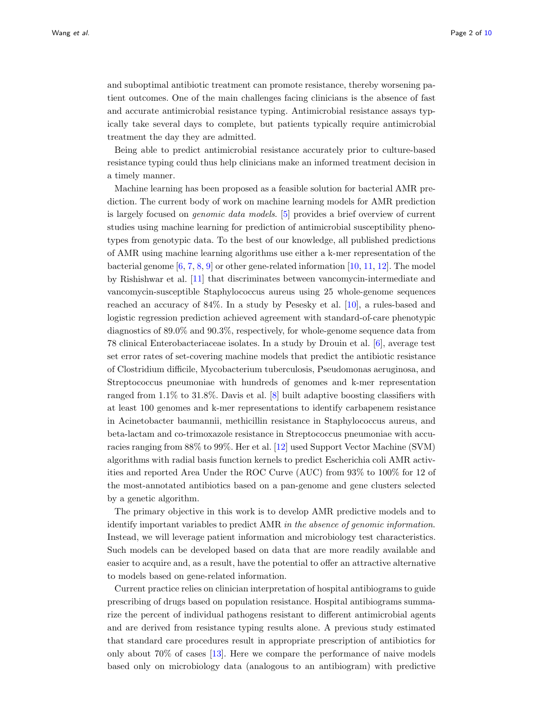and suboptimal antibiotic treatment can promote resistance, thereby worsening patient outcomes. One of the main challenges facing clinicians is the absence of fast and accurate antimicrobial resistance typing. Antimicrobial resistance assays typically take several days to complete, but patients typically require antimicrobial treatment the day they are admitted.

Being able to predict antimicrobial resistance accurately prior to culture-based resistance typing could thus help clinicians make an informed treatment decision in a timely manner.

Machine learning has been proposed as a feasible solution for bacterial AMR prediction. The current body of work on machine learning models for AMR prediction is largely focused on genomic data models. [\[5\]](#page-8-7) provides a brief overview of current studies using machine learning for prediction of antimicrobial susceptibility phenotypes from genotypic data. To the best of our knowledge, all published predictions of AMR using machine learning algorithms use either a k-mer representation of the bacterial genome [\[6,](#page-8-8) [7,](#page-8-9) [8,](#page-8-10) [9\]](#page-8-11) or other gene-related information [\[10,](#page-8-12) [11,](#page-8-13) [12\]](#page-8-14). The model by Rishishwar et al. [\[11\]](#page-8-13) that discriminates between vancomycin-intermediate and vancomycin-susceptible Staphylococcus aureus using 25 whole-genome sequences reached an accuracy of 84%. In a study by Pesesky et al. [\[10\]](#page-8-12), a rules-based and logistic regression prediction achieved agreement with standard-of-care phenotypic diagnostics of 89.0% and 90.3%, respectively, for whole-genome sequence data from 78 clinical Enterobacteriaceae isolates. In a study by Drouin et al. [\[6\]](#page-8-8), average test set error rates of set-covering machine models that predict the antibiotic resistance of Clostridium difficile, Mycobacterium tuberculosis, Pseudomonas aeruginosa, and Streptococcus pneumoniae with hundreds of genomes and k-mer representation ranged from 1.1% to 31.8%. Davis et al. [\[8\]](#page-8-10) built adaptive boosting classifiers with at least 100 genomes and k-mer representations to identify carbapenem resistance in Acinetobacter baumannii, methicillin resistance in Staphylococcus aureus, and beta-lactam and co-trimoxazole resistance in Streptococcus pneumoniae with accuracies ranging from 88% to 99%. Her et al. [\[12\]](#page-8-14) used Support Vector Machine (SVM) algorithms with radial basis function kernels to predict Escherichia coli AMR activities and reported Area Under the ROC Curve (AUC) from 93% to 100% for 12 of the most-annotated antibiotics based on a pan-genome and gene clusters selected by a genetic algorithm.

The primary objective in this work is to develop AMR predictive models and to identify important variables to predict AMR in the absence of genomic information. Instead, we will leverage patient information and microbiology test characteristics. Such models can be developed based on data that are more readily available and easier to acquire and, as a result, have the potential to offer an attractive alternative to models based on gene-related information.

Current practice relies on clinician interpretation of hospital antibiograms to guide prescribing of drugs based on population resistance. Hospital antibiograms summarize the percent of individual pathogens resistant to different antimicrobial agents and are derived from resistance typing results alone. A previous study estimated that standard care procedures result in appropriate prescription of antibiotics for only about 70% of cases [\[13\]](#page-8-15). Here we compare the performance of naive models based only on microbiology data (analogous to an antibiogram) with predictive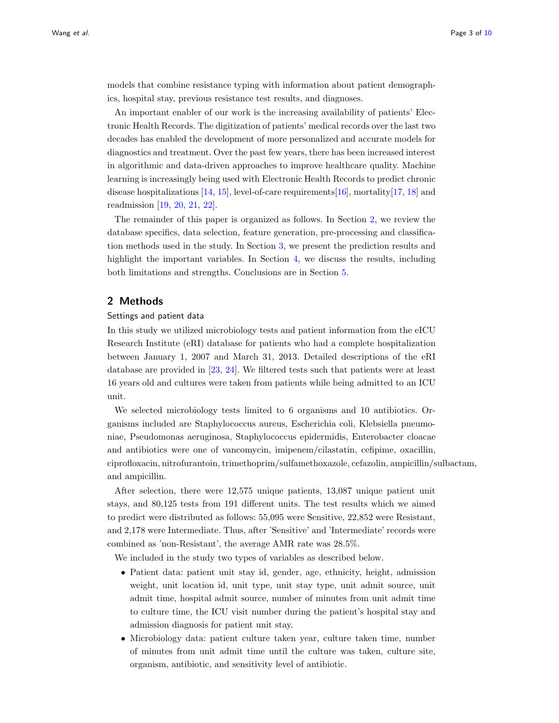models that combine resistance typing with information about patient demographics, hospital stay, previous resistance test results, and diagnoses.

An important enabler of our work is the increasing availability of patients' Electronic Health Records. The digitization of patients' medical records over the last two decades has enabled the development of more personalized and accurate models for diagnostics and treatment. Over the past few years, there has been increased interest in algorithmic and data-driven approaches to improve healthcare quality. Machine learning is increasingly being used with Electronic Health Records to predict chronic disease hospitalizations  $[14, 15]$  $[14, 15]$ , level-of-care requirements $[16]$ , mortality $[17, 18]$  $[17, 18]$  $[17, 18]$  and readmission [\[19,](#page-8-21) [20,](#page-8-22) [21,](#page-8-23) [22\]](#page-8-24).

The remainder of this paper is organized as follows. In Section [2,](#page-2-0) we review the database specifics, data selection, feature generation, pre-processing and classification methods used in the study. In Section [3,](#page-4-0) we present the prediction results and highlight the important variables. In Section [4,](#page-5-0) we discuss the results, including both limitations and strengths. Conclusions are in Section [5.](#page-7-0)

## <span id="page-2-0"></span>2 Methods

### Settings and patient data

In this study we utilized microbiology tests and patient information from the eICU Research Institute (eRI) database for patients who had a complete hospitalization between January 1, 2007 and March 31, 2013. Detailed descriptions of the eRI database are provided in [\[23,](#page-8-25) [24\]](#page-9-1). We filtered tests such that patients were at least 16 years old and cultures were taken from patients while being admitted to an ICU unit.

We selected microbiology tests limited to 6 organisms and 10 antibiotics. Organisms included are Staphylococcus aureus, Escherichia coli, Klebsiella pneumoniae, Pseudomonas aeruginosa, Staphylococcus epidermidis, Enterobacter cloacae and antibiotics were one of vancomycin, imipenem/cilastatin, cefipime, oxacillin, ciprofloxacin, nitrofurantoin, trimethoprim/sulfamethoxazole, cefazolin, ampicillin/sulbactam, and ampicillin.

After selection, there were 12,575 unique patients, 13,087 unique patient unit stays, and 80,125 tests from 191 different units. The test results which we aimed to predict were distributed as follows: 55,095 were Sensitive, 22,852 were Resistant, and 2,178 were Intermediate. Thus, after 'Sensitive' and 'Intermediate' records were combined as 'non-Resistant', the average AMR rate was 28.5%.

We included in the study two types of variables as described below.

- Patient data: patient unit stay id, gender, age, ethnicity, height, admission weight, unit location id, unit type, unit stay type, unit admit source, unit admit time, hospital admit source, number of minutes from unit admit time to culture time, the ICU visit number during the patient's hospital stay and admission diagnosis for patient unit stay.
- Microbiology data: patient culture taken year, culture taken time, number of minutes from unit admit time until the culture was taken, culture site, organism, antibiotic, and sensitivity level of antibiotic.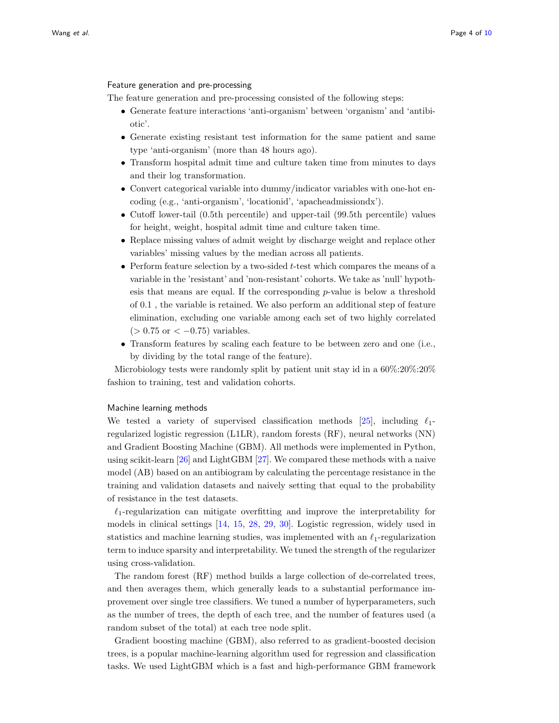#### Feature generation and pre-processing

The feature generation and pre-processing consisted of the following steps:

- Generate feature interactions 'anti-organism' between 'organism' and 'antibiotic'.
- Generate existing resistant test information for the same patient and same type 'anti-organism' (more than 48 hours ago).
- Transform hospital admit time and culture taken time from minutes to days and their log transformation.
- Convert categorical variable into dummy/indicator variables with one-hot encoding (e.g., 'anti-organism', 'locationid', 'apacheadmissiondx').
- Cutoff lower-tail (0.5th percentile) and upper-tail (99.5th percentile) values for height, weight, hospital admit time and culture taken time.
- Replace missing values of admit weight by discharge weight and replace other variables' missing values by the median across all patients.
- Perform feature selection by a two-sided  $t$ -test which compares the means of a variable in the 'resistant' and 'non-resistant' cohorts. We take as 'null' hypothesis that means are equal. If the corresponding  $p$ -value is below a threshold of 0.1 , the variable is retained. We also perform an additional step of feature elimination, excluding one variable among each set of two highly correlated  $(> 0.75 \text{ or } < -0.75)$  variables.
- Transform features by scaling each feature to be between zero and one (i.e., by dividing by the total range of the feature).

Microbiology tests were randomly split by patient unit stay id in a 60%:20%:20% fashion to training, test and validation cohorts.

#### Machine learning methods

We tested a variety of supervised classification methods [\[25\]](#page-9-2), including  $\ell_1$ regularized logistic regression (L1LR), random forests (RF), neural networks (NN) and Gradient Boosting Machine (GBM). All methods were implemented in Python, using scikit-learn [\[26\]](#page-9-3) and LightGBM [\[27\]](#page-9-4). We compared these methods with a naive model (AB) based on an antibiogram by calculating the percentage resistance in the training and validation datasets and naively setting that equal to the probability of resistance in the test datasets.

 $\ell_1$ -regularization can mitigate overfitting and improve the interpretability for models in clinical settings [\[14,](#page-8-16) [15,](#page-8-17) [28,](#page-9-5) [29,](#page-9-6) [30\]](#page-9-7). Logistic regression, widely used in statistics and machine learning studies, was implemented with an  $\ell_1$ -regularization term to induce sparsity and interpretability. We tuned the strength of the regularizer using cross-validation.

The random forest (RF) method builds a large collection of de-correlated trees, and then averages them, which generally leads to a substantial performance improvement over single tree classifiers. We tuned a number of hyperparameters, such as the number of trees, the depth of each tree, and the number of features used (a random subset of the total) at each tree node split.

Gradient boosting machine (GBM), also referred to as gradient-boosted decision trees, is a popular machine-learning algorithm used for regression and classification tasks. We used LightGBM which is a fast and high-performance GBM framework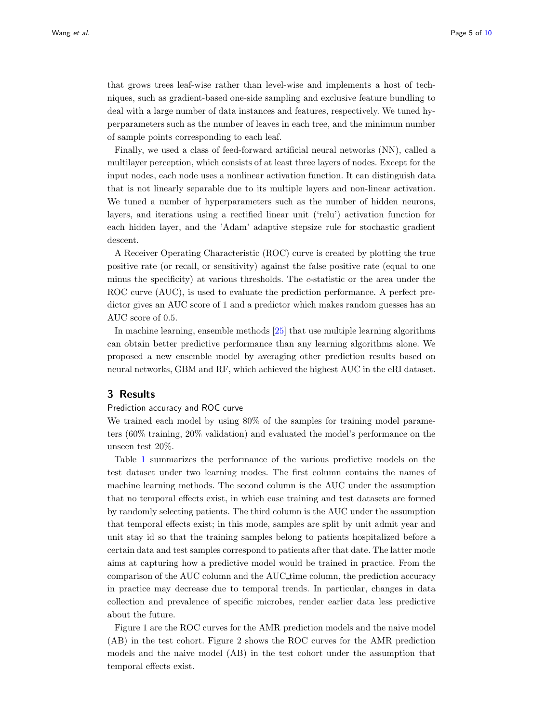that grows trees leaf-wise rather than level-wise and implements a host of techniques, such as gradient-based one-side sampling and exclusive feature bundling to deal with a large number of data instances and features, respectively. We tuned hyperparameters such as the number of leaves in each tree, and the minimum number of sample points corresponding to each leaf.

Finally, we used a class of feed-forward artificial neural networks (NN), called a multilayer perception, which consists of at least three layers of nodes. Except for the input nodes, each node uses a nonlinear activation function. It can distinguish data that is not linearly separable due to its multiple layers and non-linear activation. We tuned a number of hyperparameters such as the number of hidden neurons, layers, and iterations using a rectified linear unit ('relu') activation function for each hidden layer, and the 'Adam' adaptive stepsize rule for stochastic gradient descent.

A Receiver Operating Characteristic (ROC) curve is created by plotting the true positive rate (or recall, or sensitivity) against the false positive rate (equal to one minus the specificity) at various thresholds. The c-statistic or the area under the ROC curve (AUC), is used to evaluate the prediction performance. A perfect predictor gives an AUC score of 1 and a predictor which makes random guesses has an AUC score of 0.5.

In machine learning, ensemble methods [\[25\]](#page-9-2) that use multiple learning algorithms can obtain better predictive performance than any learning algorithms alone. We proposed a new ensemble model by averaging other prediction results based on neural networks, GBM and RF, which achieved the highest AUC in the eRI dataset.

## <span id="page-4-0"></span>3 Results

#### Prediction accuracy and ROC curve

We trained each model by using 80% of the samples for training model parameters (60% training, 20% validation) and evaluated the model's performance on the unseen test 20%.

Table [1](#page-5-1) summarizes the performance of the various predictive models on the test dataset under two learning modes. The first column contains the names of machine learning methods. The second column is the AUC under the assumption that no temporal effects exist, in which case training and test datasets are formed by randomly selecting patients. The third column is the AUC under the assumption that temporal effects exist; in this mode, samples are split by unit admit year and unit stay id so that the training samples belong to patients hospitalized before a certain data and test samples correspond to patients after that date. The latter mode aims at capturing how a predictive model would be trained in practice. From the comparison of the AUC column and the AUC time column, the prediction accuracy in practice may decrease due to temporal trends. In particular, changes in data collection and prevalence of specific microbes, render earlier data less predictive about the future.

Figure 1 are the ROC curves for the AMR prediction models and the naive model (AB) in the test cohort. Figure 2 shows the ROC curves for the AMR prediction models and the naive model (AB) in the test cohort under the assumption that temporal effects exist.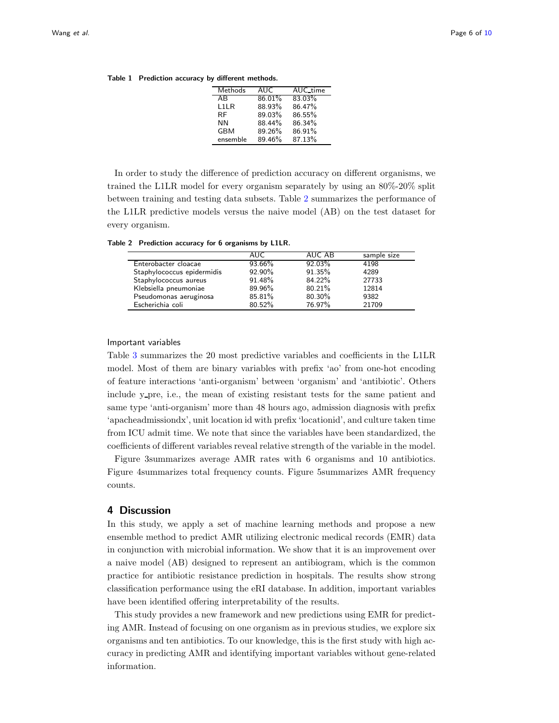| Methods           | AUC    | AUC_time |  |  |  |
|-------------------|--------|----------|--|--|--|
| AB                | 86.01% | 83.03%   |  |  |  |
| L <sub>1</sub> LR | 88.93% | 86.47%   |  |  |  |
| <b>RF</b>         | 89.03% | 86.55%   |  |  |  |
| ΝN                | 88.44% | 86.34%   |  |  |  |
| <b>GBM</b>        | 89.26% | 86.91%   |  |  |  |
| ensemble          | 89.46% | 87.13%   |  |  |  |
|                   |        |          |  |  |  |

<span id="page-5-1"></span>Table 1 Prediction accuracy by different methods.

In order to study the difference of prediction accuracy on different organisms, we trained the L1LR model for every organism separately by using an 80%-20% split between training and testing data subsets. Table [2](#page-5-2) summarizes the performance of the L1LR predictive models versus the naive model (AB) on the test dataset for every organism.

Table 2 Prediction accuracy for 6 organisms by L1LR.

<span id="page-5-2"></span>

|                            | AUC.   | AUC AB    | sample size |
|----------------------------|--------|-----------|-------------|
| Enterobacter cloacae       | 93.66% | $92.03\%$ | 4198        |
| Staphylococcus epidermidis | 92.90% | 91.35%    | 4289        |
| Staphylococcus aureus      | 91.48% | 84.22%    | 27733       |
| Klebsiella pneumoniae      | 89.96% | 80.21%    | 12814       |
| Pseudomonas aeruginosa     | 85.81% | 80.30%    | 9382        |
| Escherichia coli           | 80.52% | 76.97%    | 21709       |

#### Important variables

Table [3](#page-6-0) summarizes the 20 most predictive variables and coefficients in the L1LR model. Most of them are binary variables with prefix 'ao' from one-hot encoding of feature interactions 'anti-organism' between 'organism' and 'antibiotic'. Others include y pre, i.e., the mean of existing resistant tests for the same patient and same type 'anti-organism' more than 48 hours ago, admission diagnosis with prefix 'apacheadmissiondx', unit location id with prefix 'locationid', and culture taken time from ICU admit time. We note that since the variables have been standardized, the coefficients of different variables reveal relative strength of the variable in the model.

Figure 3summarizes average AMR rates with 6 organisms and 10 antibiotics. Figure 4summarizes total frequency counts. Figure 5summarizes AMR frequency counts.

## <span id="page-5-0"></span>4 Discussion

In this study, we apply a set of machine learning methods and propose a new ensemble method to predict AMR utilizing electronic medical records (EMR) data in conjunction with microbial information. We show that it is an improvement over a naive model (AB) designed to represent an antibiogram, which is the common practice for antibiotic resistance prediction in hospitals. The results show strong classification performance using the eRI database. In addition, important variables have been identified offering interpretability of the results.

This study provides a new framework and new predictions using EMR for predicting AMR. Instead of focusing on one organism as in previous studies, we explore six organisms and ten antibiotics. To our knowledge, this is the first study with high accuracy in predicting AMR and identifying important variables without gene-related information.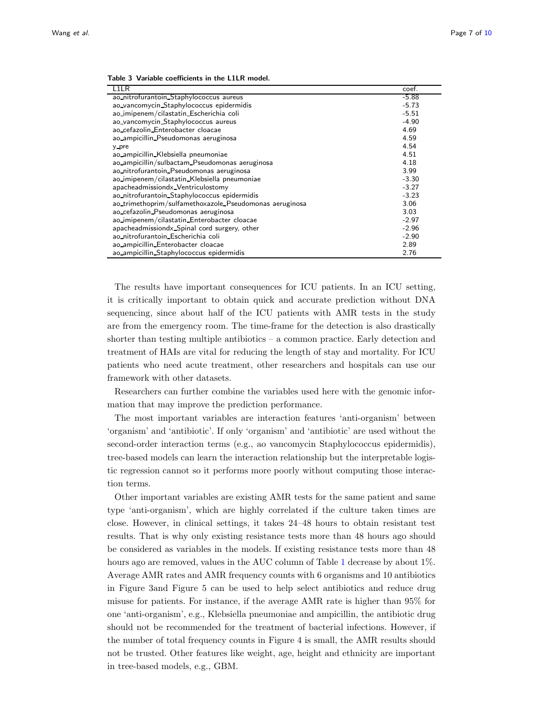| L <sub>1</sub> LR                                       | coef.   |
|---------------------------------------------------------|---------|
| ao nitrofurantoin Staphylococcus aureus                 | $-5.88$ |
| ao vancomycin Staphylococcus epidermidis                | $-5.73$ |
| ao imipenem/cilastatin Escherichia coli                 | $-5.51$ |
| ao vancomycin Staphylococcus aureus                     | $-4.90$ |
| ao cefazolin Enterobacter cloacae                       | 4.69    |
| ao_ampicillin_Pseudomonas aeruginosa                    | 4.59    |
| y_pre                                                   | 4.54    |
| ao ampicillin Klebsiella pneumoniae                     | 4.51    |
| ao ampicillin/sulbactam Pseudomonas aeruginosa          | 4.18    |
| ao_nitrofurantoin_Pseudomonas aeruginosa                | 3.99    |
| ao_imipenem/cilastatin_Klebsiella pneumoniae            | $-3.30$ |
| apacheadmissiondx Ventriculostomy                       | $-3.27$ |
| ao nitrofurantoin Staphylococcus epidermidis            | $-3.23$ |
| ao trimethoprim/sulfamethoxazole_Pseudomonas aeruginosa | 3.06    |
| ao_cefazolin_Pseudomonas aeruginosa                     | 3.03    |
| ao_imipenem/cilastatin_Enterobacter cloacae             | $-2.97$ |
| apacheadmissiondx Spinal cord surgery, other            | $-2.96$ |
| ao nitrofurantoin Escherichia coli                      | $-2.90$ |
| ao_ampicillin_Enterobacter_cloacae                      | 2.89    |
| ao ampicillin Staphylococcus epidermidis                | 2.76    |

<span id="page-6-0"></span>Table 3 Variable coefficients in the L1LR model.

The results have important consequences for ICU patients. In an ICU setting, it is critically important to obtain quick and accurate prediction without DNA sequencing, since about half of the ICU patients with AMR tests in the study are from the emergency room. The time-frame for the detection is also drastically shorter than testing multiple antibiotics – a common practice. Early detection and treatment of HAIs are vital for reducing the length of stay and mortality. For ICU patients who need acute treatment, other researchers and hospitals can use our framework with other datasets.

Researchers can further combine the variables used here with the genomic information that may improve the prediction performance.

The most important variables are interaction features 'anti-organism' between 'organism' and 'antibiotic'. If only 'organism' and 'antibiotic' are used without the second-order interaction terms (e.g., ao vancomycin Staphylococcus epidermidis), tree-based models can learn the interaction relationship but the interpretable logistic regression cannot so it performs more poorly without computing those interaction terms.

Other important variables are existing AMR tests for the same patient and same type 'anti-organism', which are highly correlated if the culture taken times are close. However, in clinical settings, it takes 24–48 hours to obtain resistant test results. That is why only existing resistance tests more than 48 hours ago should be considered as variables in the models. If existing resistance tests more than 48 hours ago are removed, values in the AUC column of Table [1](#page-5-1) decrease by about 1%. Average AMR rates and AMR frequency counts with 6 organisms and 10 antibiotics in Figure 3and Figure 5 can be used to help select antibiotics and reduce drug misuse for patients. For instance, if the average AMR rate is higher than 95% for one 'anti-organism', e.g., Klebsiella pneumoniae and ampicillin, the antibiotic drug should not be recommended for the treatment of bacterial infections. However, if the number of total frequency counts in Figure 4 is small, the AMR results should not be trusted. Other features like weight, age, height and ethnicity are important in tree-based models, e.g., GBM.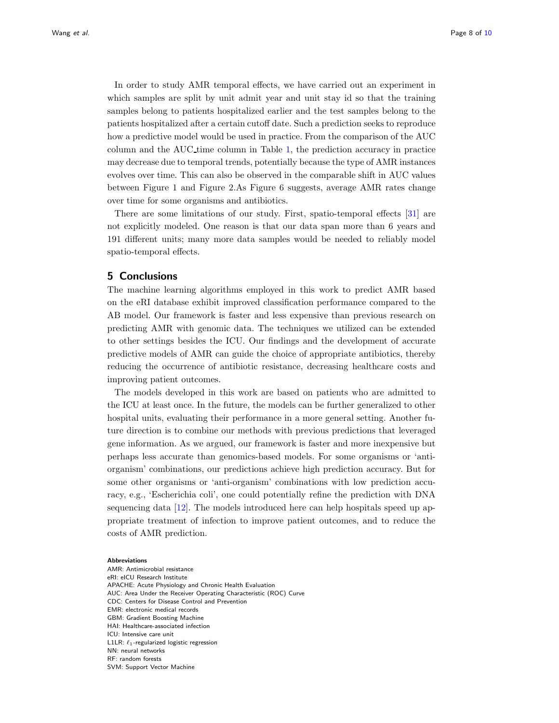In order to study AMR temporal effects, we have carried out an experiment in which samples are split by unit admit year and unit stay id so that the training samples belong to patients hospitalized earlier and the test samples belong to the patients hospitalized after a certain cutoff date. Such a prediction seeks to reproduce how a predictive model would be used in practice. From the comparison of the AUC column and the AUC time column in Table [1,](#page-5-1) the prediction accuracy in practice may decrease due to temporal trends, potentially because the type of AMR instances evolves over time. This can also be observed in the comparable shift in AUC values between Figure 1 and Figure 2.As Figure 6 suggests, average AMR rates change over time for some organisms and antibiotics.

There are some limitations of our study. First, spatio-temporal effects [\[31\]](#page-9-8) are not explicitly modeled. One reason is that our data span more than 6 years and 191 different units; many more data samples would be needed to reliably model spatio-temporal effects.

## <span id="page-7-0"></span>5 Conclusions

The machine learning algorithms employed in this work to predict AMR based on the eRI database exhibit improved classification performance compared to the AB model. Our framework is faster and less expensive than previous research on predicting AMR with genomic data. The techniques we utilized can be extended to other settings besides the ICU. Our findings and the development of accurate predictive models of AMR can guide the choice of appropriate antibiotics, thereby reducing the occurrence of antibiotic resistance, decreasing healthcare costs and improving patient outcomes.

The models developed in this work are based on patients who are admitted to the ICU at least once. In the future, the models can be further generalized to other hospital units, evaluating their performance in a more general setting. Another future direction is to combine our methods with previous predictions that leveraged gene information. As we argued, our framework is faster and more inexpensive but perhaps less accurate than genomics-based models. For some organisms or 'antiorganism' combinations, our predictions achieve high prediction accuracy. But for some other organisms or 'anti-organism' combinations with low prediction accuracy, e.g., 'Escherichia coli', one could potentially refine the prediction with DNA sequencing data [\[12\]](#page-8-14). The models introduced here can help hospitals speed up appropriate treatment of infection to improve patient outcomes, and to reduce the costs of AMR prediction.

#### Abbreviations

AMR: Antimicrobial resistance eRI: eICU Research Institute APACHE: Acute Physiology and Chronic Health Evaluation AUC: Area Under the Receiver Operating Characteristic (ROC) Curve CDC: Centers for Disease Control and Prevention EMR: electronic medical records GBM: Gradient Boosting Machine HAI: Healthcare-associated infection ICU: Intensive care unit L1LR:  $\ell_1$ -regularized logistic regression NN: neural networks RF: random forests SVM: Support Vector Machine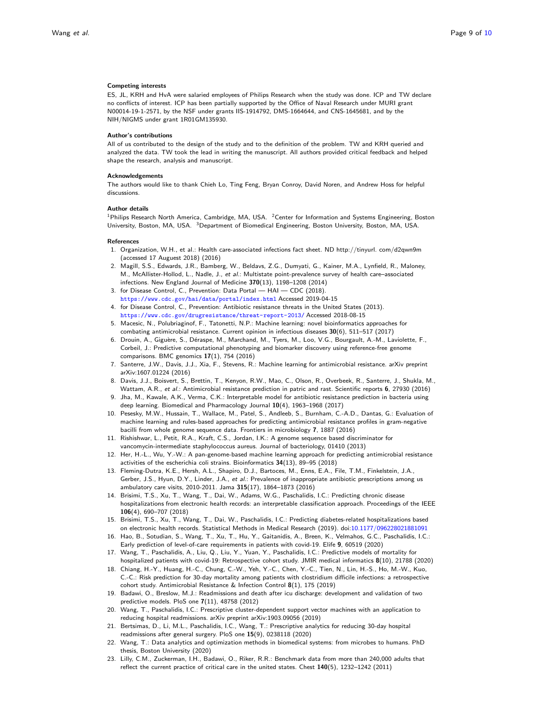#### Competing interests

ES, JL, KRH and HvA were salaried employees of Philips Research when the study was done. ICP and TW declare no conflicts of interest. ICP has been partially supported by the Office of Naval Research under MURI grant N00014-19-1-2571, by the NSF under grants IIS-1914792, DMS-1664644, and CNS-1645681, and by the NIH/NIGMS under grant 1R01GM135930.

#### Author's contributions

All of us contributed to the design of the study and to the definition of the problem. TW and KRH queried and analyzed the data. TW took the lead in writing the manuscript. All authors provided critical feedback and helped shape the research, analysis and manuscript.

#### Acknowledgements

The authors would like to thank Chieh Lo, Ting Feng, Bryan Conroy, David Noren, and Andrew Hoss for helpful discussions.

#### Author details

<span id="page-8-0"></span><sup>1</sup>Philips Research North America, Cambridge, MA, USA. <sup>2</sup>Center for Information and Systems Engineering, Boston University, Boston, MA, USA. <sup>3</sup>Department of Biomedical Engineering, Boston University, Boston, MA, USA.

#### <span id="page-8-3"></span>References

- <span id="page-8-2"></span><span id="page-8-1"></span>1. Organization, W.H., et al.: Health care-associated infections fact sheet. ND http://tinyurl. com/d2qwn9m (accessed 17 Auguest 2018) (2016)
- <span id="page-8-4"></span>2. Magill, S.S., Edwards, J.R., Bamberg, W., Beldavs, Z.G., Dumyati, G., Kainer, M.A., Lynfield, R., Maloney, M., McAllister-Hollod, L., Nadle, J., et al.: Multistate point-prevalence survey of health care–associated infections. New England Journal of Medicine 370(13), 1198–1208 (2014)
- <span id="page-8-5"></span>3. for Disease Control, C., Prevention: Data Portal — HAI — CDC (2018). <https://www.cdc.gov/hai/data/portal/index.html> Accessed 2019-04-15
- <span id="page-8-6"></span>4. for Disease Control, C., Prevention: Antibiotic resistance threats in the United States (2013). <https://www.cdc.gov/drugresistance/threat-report-2013/> Accessed 2018-08-15
- <span id="page-8-7"></span>5. Macesic, N., Polubriaginof, F., Tatonetti, N.P.: Machine learning: novel bioinformatics approaches for combating antimicrobial resistance. Current opinion in infectious diseases  $30(6)$ , 511–517 (2017)
- <span id="page-8-8"></span>6. Drouin, A., Giguère, S., Déraspe, M., Marchand, M., Tyers, M., Loo, V.G., Bourgault, A.-M., Laviolette, F., Corbeil, J.: Predictive computational phenotyping and biomarker discovery using reference-free genome comparisons. BMC genomics  $17(1)$ , 754 (2016)
- <span id="page-8-9"></span>7. Santerre, J.W., Davis, J.J., Xia, F., Stevens, R.: Machine learning for antimicrobial resistance. arXiv preprint arXiv:1607.01224 (2016)
- <span id="page-8-10"></span>8. Davis, J.J., Boisvert, S., Brettin, T., Kenyon, R.W., Mao, C., Olson, R., Overbeek, R., Santerre, J., Shukla, M., Wattam, A.R., et al.: Antimicrobial resistance prediction in patric and rast. Scientific reports 6, 27930 (2016)
- <span id="page-8-11"></span>9. Jha, M., Kawale, A.K., Verma, C.K.: Interpretable model for antibiotic resistance prediction in bacteria using deep learning. Biomedical and Pharmacology Journal 10(4), 1963–1968 (2017)
- <span id="page-8-12"></span>10. Pesesky, M.W., Hussain, T., Wallace, M., Patel, S., Andleeb, S., Burnham, C.-A.D., Dantas, G.: Evaluation of machine learning and rules-based approaches for predicting antimicrobial resistance profiles in gram-negative bacilli from whole genome sequence data. Frontiers in microbiology 7, 1887 (2016)
- <span id="page-8-13"></span>11. Rishishwar, L., Petit, R.A., Kraft, C.S., Jordan, I.K.: A genome sequence based discriminator for vancomycin-intermediate staphylococcus aureus. Journal of bacteriology, 01410 (2013)
- <span id="page-8-14"></span>12. Her, H.-L., Wu, Y.-W.: A pan-genome-based machine learning approach for predicting antimicrobial resistance activities of the escherichia coli strains. Bioinformatics 34(13), 89–95 (2018)
- <span id="page-8-15"></span>13. Fleming-Dutra, K.E., Hersh, A.L., Shapiro, D.J., Bartoces, M., Enns, E.A., File, T.M., Finkelstein, J.A., Gerber, J.S., Hyun, D.Y., Linder, J.A., et al.: Prevalence of inappropriate antibiotic prescriptions among us ambulatory care visits, 2010-2011. Jama 315(17), 1864–1873 (2016)
- <span id="page-8-16"></span>14. Brisimi, T.S., Xu, T., Wang, T., Dai, W., Adams, W.G., Paschalidis, I.C.: Predicting chronic disease hospitalizations from electronic health records: an interpretable classification approach. Proceedings of the IEEE 106(4), 690–707 (2018)
- <span id="page-8-17"></span>15. Brisimi, T.S., Xu, T., Wang, T., Dai, W., Paschalidis, I.C.: Predicting diabetes-related hospitalizations based on electronic health records. Statistical Methods in Medical Research (2019). doi[:10.1177/096228021881091](http://dx.doi.org/10.1177/096228021881091)
- <span id="page-8-18"></span>16. Hao, B., Sotudian, S., Wang, T., Xu, T., Hu, Y., Gaitanidis, A., Breen, K., Velmahos, G.C., Paschalidis, I.C.: Early prediction of level-of-care requirements in patients with covid-19. Elife 9, 60519 (2020)
- <span id="page-8-19"></span>17. Wang, T., Paschalidis, A., Liu, Q., Liu, Y., Yuan, Y., Paschalidis, I.C.: Predictive models of mortality for hospitalized patients with covid-19: Retrospective cohort study. JMIR medical informatics 8(10), 21788 (2020)
- <span id="page-8-20"></span>18. Chiang, H.-Y., Huang, H.-C., Chung, C.-W., Yeh, Y.-C., Chen, Y.-C., Tien, N., Lin, H.-S., Ho, M.-W., Kuo, C.-C.: Risk prediction for 30-day mortality among patients with clostridium difficile infections: a retrospective cohort study. Antimicrobial Resistance & Infection Control 8(1), 175 (2019)
- <span id="page-8-21"></span>19. Badawi, O., Breslow, M.J.: Readmissions and death after icu discharge: development and validation of two predictive models. PloS one  $7(11)$ , 48758  $(2012)$
- <span id="page-8-22"></span>20. Wang, T., Paschalidis, I.C.: Prescriptive cluster-dependent support vector machines with an application to reducing hospital readmissions. arXiv preprint arXiv:1903.09056 (2019)
- <span id="page-8-23"></span>21. Bertsimas, D., Li, M.L., Paschalidis, I.C., Wang, T.: Prescriptive analytics for reducing 30-day hospital readmissions after general surgery. PloS one 15(9), 0238118 (2020)
- <span id="page-8-24"></span>22. Wang, T.: Data analytics and optimization methods in biomedical systems: from microbes to humans. PhD thesis, Boston University (2020)
- <span id="page-8-25"></span>23. Lilly, C.M., Zuckerman, I.H., Badawi, O., Riker, R.R.: Benchmark data from more than 240,000 adults that reflect the current practice of critical care in the united states. Chest 140(5), 1232–1242 (2011)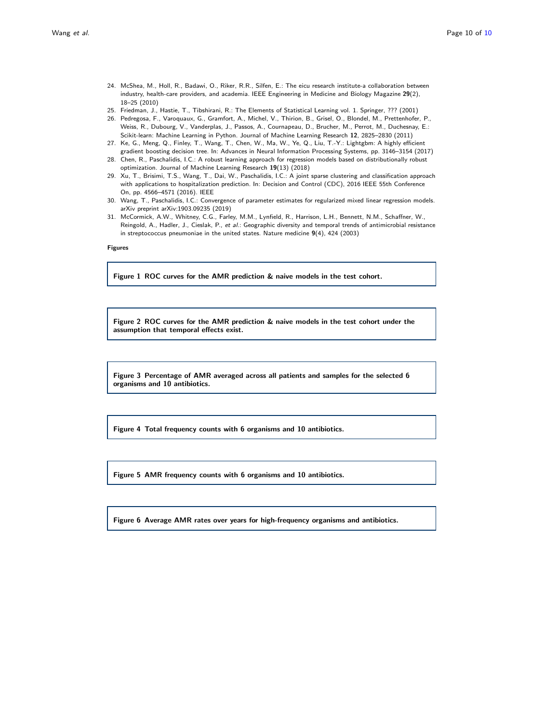- <span id="page-9-1"></span><span id="page-9-0"></span>24. McShea, M., Holl, R., Badawi, O., Riker, R.R., Silfen, E.: The eicu research institute-a collaboration between industry, health-care providers, and academia. IEEE Engineering in Medicine and Biology Magazine 29(2), 18–25 (2010)
- <span id="page-9-3"></span><span id="page-9-2"></span>25. Friedman, J., Hastie, T., Tibshirani, R.: The Elements of Statistical Learning vol. 1. Springer, ??? (2001)
- 26. Pedregosa, F., Varoquaux, G., Gramfort, A., Michel, V., Thirion, B., Grisel, O., Blondel, M., Prettenhofer, P., Weiss, R., Dubourg, V., Vanderplas, J., Passos, A., Cournapeau, D., Brucher, M., Perrot, M., Duchesnay, E.: Scikit-learn: Machine Learning in Python. Journal of Machine Learning Research 12, 2825–2830 (2011)
- <span id="page-9-4"></span>27. Ke, G., Meng, Q., Finley, T., Wang, T., Chen, W., Ma, W., Ye, Q., Liu, T.-Y.: Lightgbm: A highly efficient gradient boosting decision tree. In: Advances in Neural Information Processing Systems, pp. 3146–3154 (2017)
- <span id="page-9-5"></span>28. Chen, R., Paschalidis, I.C.: A robust learning approach for regression models based on distributionally robust optimization. Journal of Machine Learning Research 19(13) (2018)
- <span id="page-9-6"></span>29. Xu, T., Brisimi, T.S., Wang, T., Dai, W., Paschalidis, I.C.: A joint sparse clustering and classification approach with applications to hospitalization prediction. In: Decision and Control (CDC), 2016 IEEE 55th Conference On, pp. 4566–4571 (2016). IEEE
- <span id="page-9-7"></span>30. Wang, T., Paschalidis, I.C.: Convergence of parameter estimates for regularized mixed linear regression models. arXiv preprint arXiv:1903.09235 (2019)
- <span id="page-9-8"></span>31. McCormick, A.W., Whitney, C.G., Farley, M.M., Lynfield, R., Harrison, L.H., Bennett, N.M., Schaffner, W., Reingold, A., Hadler, J., Cieslak, P., et al.: Geographic diversity and temporal trends of antimicrobial resistance in streptococcus pneumoniae in the united states. Nature medicine  $9(4)$ , 424 (2003)

Figures

Figure 1 ROC curves for the AMR prediction & naive models in the test cohort.

Figure 2 ROC curves for the AMR prediction & naive models in the test cohort under the assumption that temporal effects exist.

Figure 3 Percentage of AMR averaged across all patients and samples for the selected 6 organisms and 10 antibiotics.

Figure 4 Total frequency counts with 6 organisms and 10 antibiotics.

Figure 5 AMR frequency counts with 6 organisms and 10 antibiotics.

Figure 6 Average AMR rates over years for high-frequency organisms and antibiotics.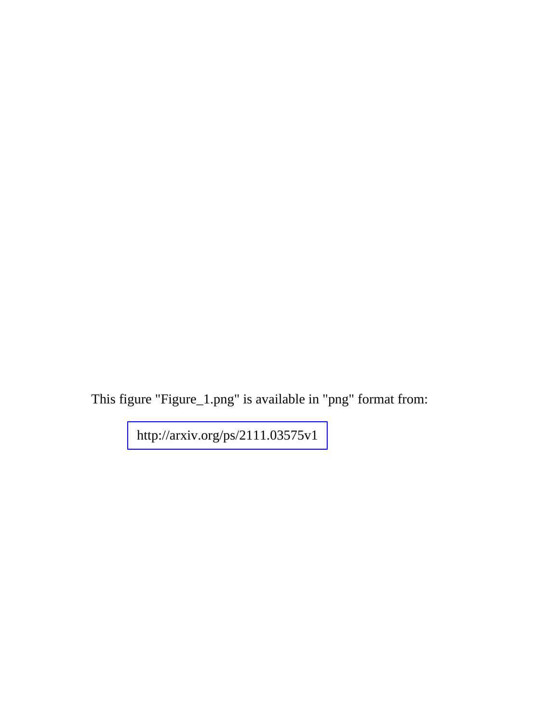This figure "Figure\_1.png" is available in "png" format from: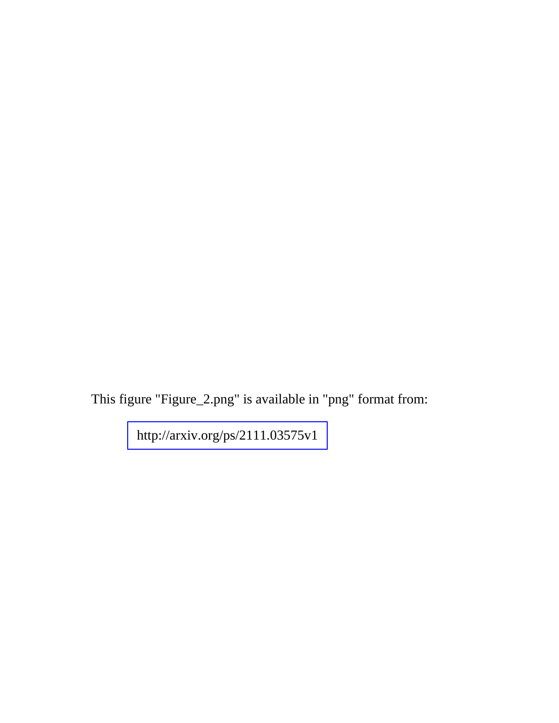This figure "Figure\_2.png" is available in "png" format from: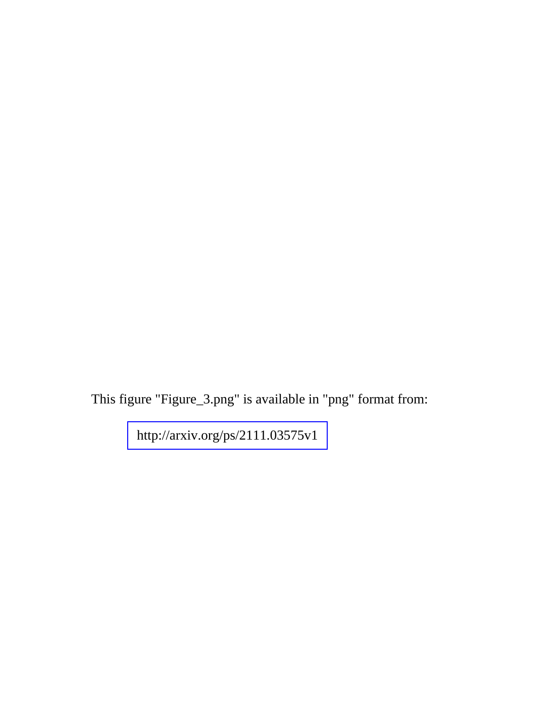This figure "Figure\_3.png" is available in "png" format from: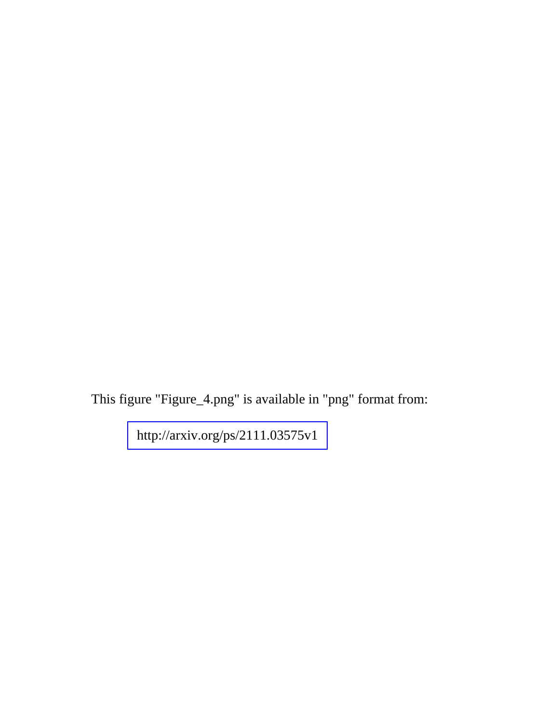This figure "Figure\_4.png" is available in "png" format from: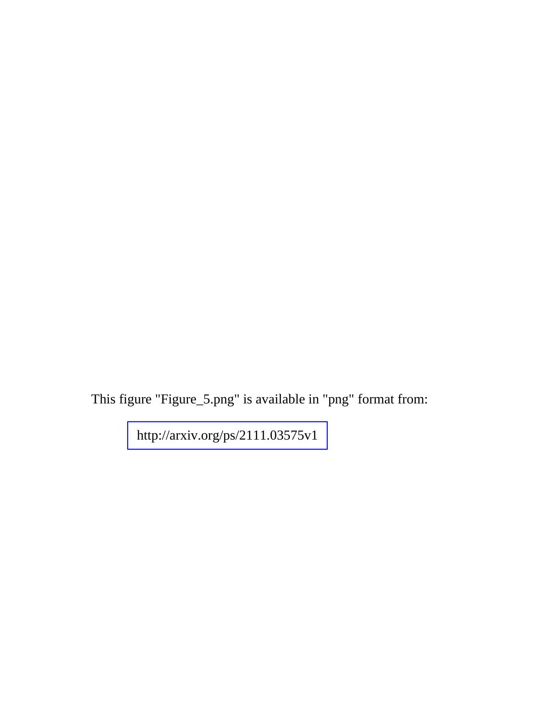This figure "Figure\_5.png" is available in "png" format from: